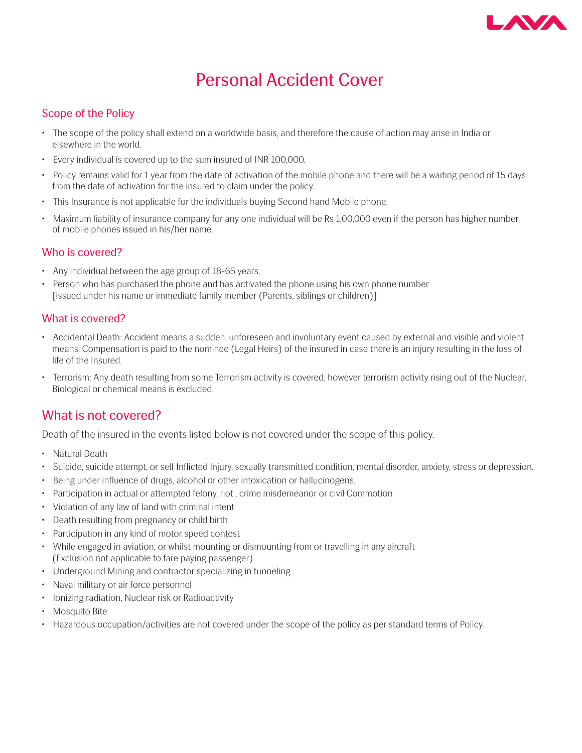

# Personal Accident Cover

# Scope of the Policy

- The scope of the policy shall extend on a worldwide basis, and therefore the cause of action may arise in India or elsewhere in the world.
- Every individual is covered up to the sum insured of INR 100,000.
- Policy remains valid for 1 year from the date of activation of the mobile phone and there will be a waiting period of 15 days from the date of activation for the insured to claim under the policy.
- This Insurance is not applicable for the individuals buying Second hand Mobile phone.
- Maximum liability of insurance company for any one individual will be Rs 1,00,000 even if the person has higher number of mobile phones issued in his/her name.

### Who is covered?

- Any individual between the age group of 18-65 years.
- Person who has purchased the phone and has activated the phone using his own phone number [issued under his name or immediate family member (Parents, siblings or children)]

# What is covered?

- Accidental Death: Accident means a sudden, unforeseen and involuntary event caused by external and visible and violent means. Compensation is paid to the nominee (Legal Heirs) of the insured in case there is an injury resulting in the loss of life of the Insured.
- Terrorism: Any death resulting from some Terrorism activity is covered, however terrorism activity rising out of the Nuclear, Biological or chemical means is excluded.

# What is not covered?

Death of the insured in the events listed below is not covered under the scope of this policy.

- Natural Death
- Suicide, suicide attempt, or self Inflicted Injury, sexually transmitted condition, mental disorder, anxiety, stress or depression.
- Being under influence of drugs, alcohol or other intoxication or hallucinogens.
- Participation in actual or attempted felony, riot , crime misdemeanor or civil Commotion
- Violation of any law of land with criminal intent
- Death resulting from pregnancy or child birth
- Participation in any kind of motor speed contest
- While engaged in aviation, or whilst mounting or dismounting from or travelling in any aircraft (Exclusion not applicable to fare paying passenger)
- Underground Mining and contractor specializing in tunneling
- Naval military or air force personnel
- Ionizing radiation, Nuclear risk or Radioactivity
- Mosquito Bite
- Hazardous occupation/activities are not covered under the scope of the policy as per standard terms of Policy.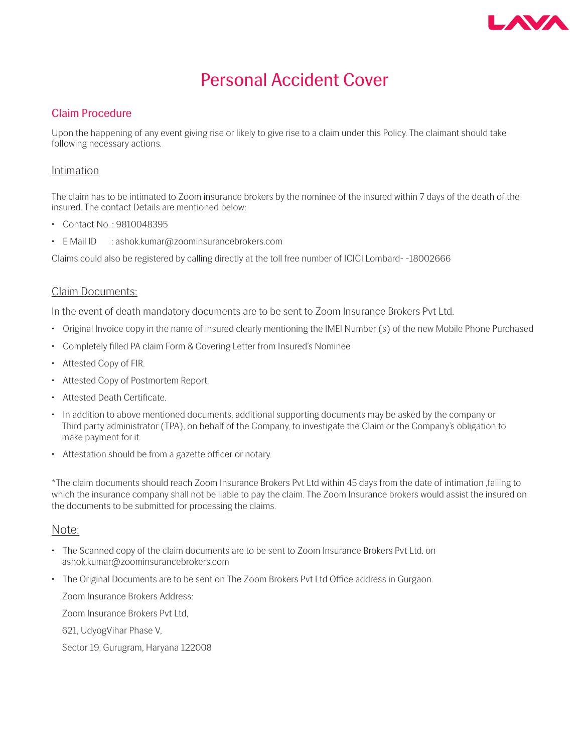

# Personal Accident Cover

### Claim Procedure

Upon the happening of any event giving rise or likely to give rise to a claim under this Policy. The claimant should take following necessary actions.

#### Intimation

The claim has to be intimated to Zoom insurance brokers by the nominee of the insured within 7 days of the death of the insured. The contact Details are mentioned below:

- Contact No. : 9810048395
- E Mail ID : ashok.kumar@zoominsurancebrokers.com

Claims could also be registered by calling directly at the toll free number of ICICI Lombard- -18002666

#### Claim Documents:

In the event of death mandatory documents are to be sent to Zoom Insurance Brokers Pvt Ltd.

- Original Invoice copy in the name of insured clearly mentioning the IMEI Number (s) of the new Mobile Phone Purchased
- Completely filled PA claim Form & Covering Letter from Insured's Nominee
- Attested Copy of FIR.
- Attested Copy of Postmortem Report.
- Attested Death Certificate.
- In addition to above mentioned documents, additional supporting documents may be asked by the company or Third party administrator (TPA), on behalf of the Company, to investigate the Claim or the Company's obligation to make payment for it.
- Attestation should be from a gazette officer or notary.

\*The claim documents should reach Zoom Insurance Brokers Pvt Ltd within 45 days from the date of intimation ,failing to which the insurance company shall not be liable to pay the claim. The Zoom Insurance brokers would assist the insured on the documents to be submitted for processing the claims.

#### Note:

- The Scanned copy of the claim documents are to be sent to Zoom Insurance Brokers Pvt Ltd. on ashok.kumar@zoominsurancebrokers.com
- The Original Documents are to be sent on The Zoom Brokers Pvt Ltd Office address in Gurgaon.

Zoom Insurance Brokers Address:

Zoom Insurance Brokers Pvt Ltd,

621, UdyogVihar Phase V,

Sector 19, Gurugram, Haryana 122008